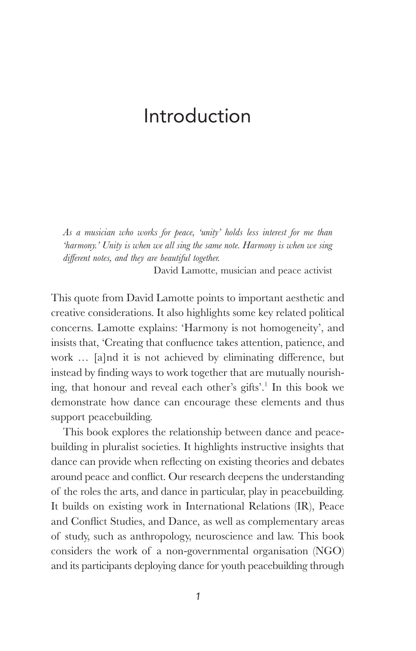*As a musician who works for peace, 'unity' holds less interest for me than 'harmony.' Unity is when we all sing the same note. Harmony is when we sing diff erent notes, and they are beautiful together.*

David Lamotte, musician and peace activist

 This quote from David Lamotte points to important aesthetic and creative considerations. It also highlights some key related political concerns. Lamotte explains: 'Harmony is not homogeneity', and insists that, 'Creating that confluence takes attention, patience, and work ... [a]nd it is not achieved by eliminating difference, but instead by finding ways to work together that are mutually nourishing, that honour and reveal each other's gifts'.<sup>1</sup> In this book we demonstrate how dance can encourage these elements and thus support peacebuilding.

 This book explores the relationship between dance and peacebuilding in pluralist societies. It highlights instructive insights that dance can provide when reflecting on existing theories and debates around peace and conflict. Our research deepens the understanding of the roles the arts, and dance in particular, play in peacebuilding. It builds on existing work in International Relations (IR), Peace and Conflict Studies, and Dance, as well as complementary areas of study, such as anthropology, neuroscience and law. This book considers the work of a non-governmental organisation (NGO) and its participants deploying dance for youth peacebuilding through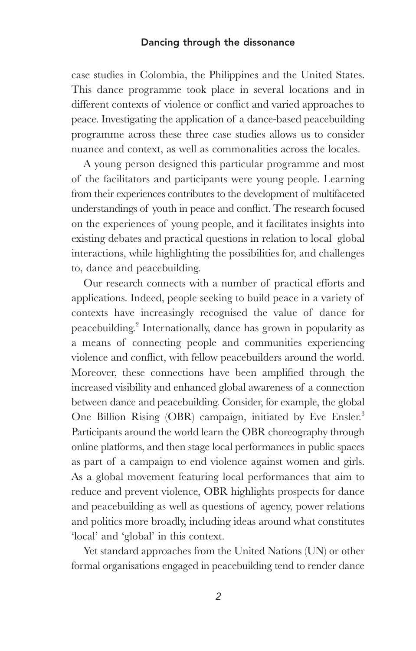case studies in Colombia, the Philippines and the United States. This dance programme took place in several locations and in different contexts of violence or conflict and varied approaches to peace. Investigating the application of a dance-based peacebuilding programme across these three case studies allows us to consider nuance and context, as well as commonalities across the locales.

 A young person designed this particular programme and most of the facilitators and participants were young people. Learning from their experiences contributes to the development of multifaceted understandings of youth in peace and conflict. The research focused on the experiences of young people, and it facilitates insights into existing debates and practical questions in relation to local–global interactions, while highlighting the possibilities for, and challenges to, dance and peacebuilding.

Our research connects with a number of practical efforts and applications. Indeed, people seeking to build peace in a variety of contexts have increasingly recognised the value of dance for peacebuilding.<sup>2</sup> Internationally, dance has grown in popularity as a means of connecting people and communities experiencing violence and conflict, with fellow peacebuilders around the world. Moreover, these connections have been amplified through the increased visibility and enhanced global awareness of a connection between dance and peacebuilding. Consider, for example, the global One Billion Rising (OBR) campaign, initiated by Eve Ensler.<sup>3</sup> Participants around the world learn the OBR choreography through online platforms, and then stage local performances in public spaces as part of a campaign to end violence against women and girls. As a global movement featuring local performances that aim to reduce and prevent violence, OBR highlights prospects for dance and peacebuilding as well as questions of agency, power relations and politics more broadly, including ideas around what constitutes 'local' and 'global' in this context.

 Yet standard approaches from the United Nations (UN) or other formal organisations engaged in peacebuilding tend to render dance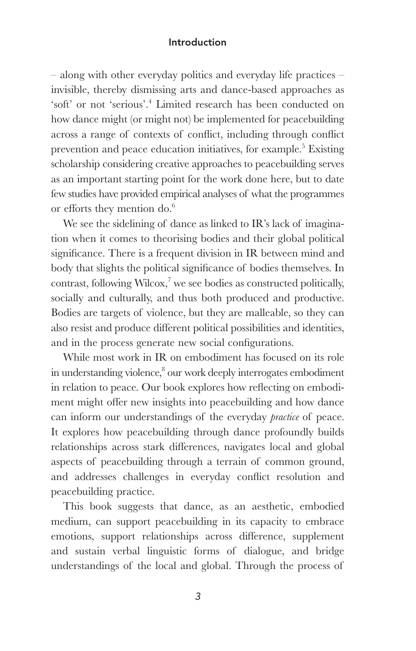– along with other everyday politics and everyday life practices – invisible, thereby dismissing arts and dance-based approaches as 'soft' or not 'serious'.<sup>4</sup> Limited research has been conducted on how dance might (or might not) be implemented for peacebuilding across a range of contexts of conflict, including through conflict prevention and peace education initiatives, for example.<sup>5</sup> Existing scholarship considering creative approaches to peacebuilding serves as an important starting point for the work done here, but to date few studies have provided empirical analyses of what the programmes or efforts they mention do.<sup>6</sup>

We see the sidelining of dance as linked to IR's lack of imagination when it comes to theorising bodies and their global political significance. There is a frequent division in IR between mind and body that slights the political significance of bodies themselves. In contrast, following Wilcox,<sup>7</sup> we see bodies as constructed politically, socially and culturally, and thus both produced and productive. Bodies are targets of violence, but they are malleable, so they can also resist and produce different political possibilities and identities, and in the process generate new social configurations.

 While most work in IR on embodiment has focused on its role in understanding violence,<sup>8</sup> our work deeply interrogates embodiment in relation to peace. Our book explores how reflecting on embodiment might offer new insights into peacebuilding and how dance can inform our understandings of the everyday *practice* of peace. It explores how peacebuilding through dance profoundly builds relationships across stark differences, navigates local and global aspects of peacebuilding through a terrain of common ground, and addresses challenges in everyday conflict resolution and peacebuilding practice.

 This book suggests that dance, as an aesthetic, embodied medium, can support peacebuilding in its capacity to embrace emotions, support relationships across difference, supplement and sustain verbal linguistic forms of dialogue, and bridge understandings of the local and global. Through the process of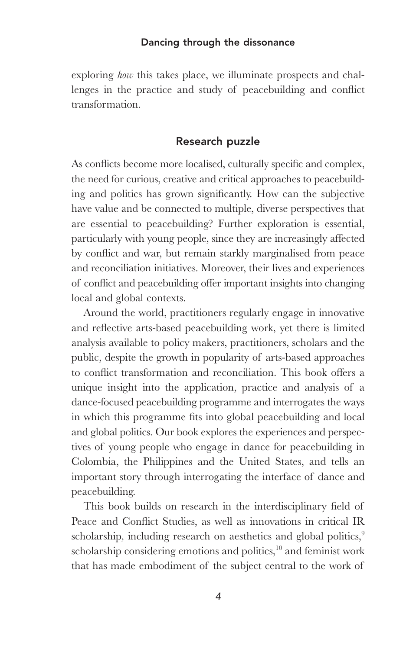exploring *how* this takes place, we illuminate prospects and challenges in the practice and study of peacebuilding and conflict transformation.

#### **Research puzzle**

As conflicts become more localised, culturally specific and complex, the need for curious, creative and critical approaches to peacebuilding and politics has grown significantly. How can the subjective have value and be connected to multiple, diverse perspectives that are essential to peacebuilding? Further exploration is essential, particularly with young people, since they are increasingly affected by conflict and war, but remain starkly marginalised from peace and reconciliation initiatives. Moreover, their lives and experiences of conflict and peacebuilding offer important insights into changing local and global contexts.

 Around the world, practitioners regularly engage in innovative and reflective arts-based peacebuilding work, yet there is limited analysis available to policy makers, practitioners, scholars and the public, despite the growth in popularity of arts-based approaches to conflict transformation and reconciliation. This book offers a unique insight into the application, practice and analysis of a dance-focused peacebuilding programme and interrogates the ways in which this programme fits into global peacebuilding and local and global politics. Our book explores the experiences and perspectives of young people who engage in dance for peacebuilding in Colombia, the Philippines and the United States, and tells an important story through interrogating the interface of dance and peacebuilding.

This book builds on research in the interdisciplinary field of Peace and Conflict Studies, as well as innovations in critical IR scholarship, including research on aesthetics and global politics,<sup>9</sup> scholarship considering emotions and politics, <sup>10</sup> and feminist work that has made embodiment of the subject central to the work of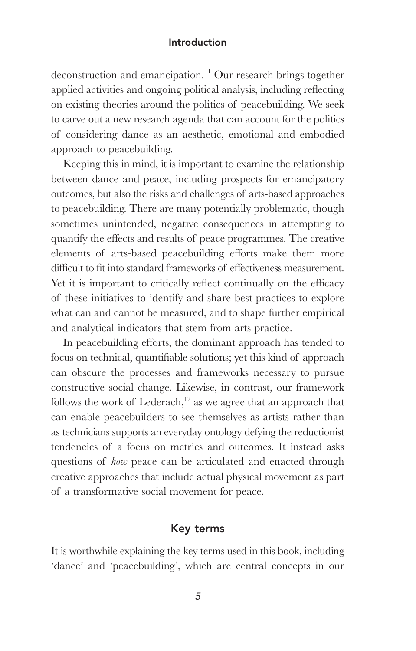deconstruction and emancipation. 11 Our research brings together applied activities and ongoing political analysis, including reflecting on existing theories around the politics of peacebuilding. We seek to carve out a new research agenda that can account for the politics of considering dance as an aesthetic, emotional and embodied approach to peacebuilding.

 Keeping this in mind, it is important to examine the relationship between dance and peace, including prospects for emancipatory outcomes, but also the risks and challenges of arts-based approaches to peacebuilding. There are many potentially problematic, though sometimes unintended, negative consequences in attempting to quantify the effects and results of peace programmes. The creative elements of arts-based peacebuilding efforts make them more difficult to fit into standard frameworks of effectiveness measurement. Yet it is important to critically reflect continually on the efficacy of these initiatives to identify and share best practices to explore what can and cannot be measured, and to shape further empirical and analytical indicators that stem from arts practice.

In peacebuilding efforts, the dominant approach has tended to focus on technical, quantifiable solutions; yet this kind of approach can obscure the processes and frameworks necessary to pursue constructive social change. Likewise, in contrast, our framework follows the work of Lederach,<sup>12</sup> as we agree that an approach that can enable peacebuilders to see themselves as artists rather than as technicians supports an everyday ontology defying the reductionist tendencies of a focus on metrics and outcomes. It instead asks questions of *how* peace can be articulated and enacted through creative approaches that include actual physical movement as part of a transformative social movement for peace.

## **Key terms**

 It is worthwhile explaining the key terms used in this book, including 'dance' and 'peacebuilding', which are central concepts in our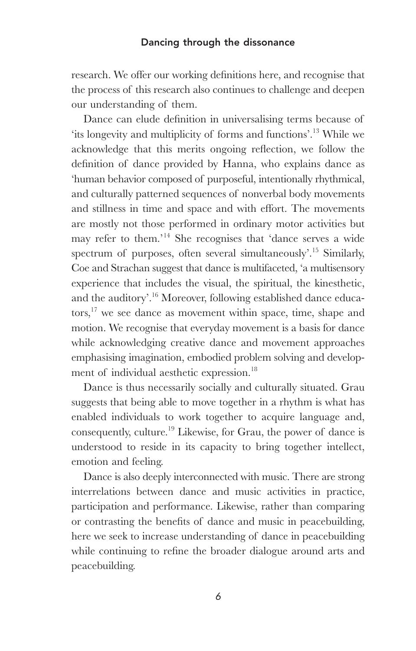research. We offer our working definitions here, and recognise that the process of this research also continues to challenge and deepen our understanding of them.

Dance can elude definition in universalising terms because of 'its longevity and multiplicity of forms and functions'.<sup>13</sup> While we acknowledge that this merits ongoing reflection, we follow the definition of dance provided by Hanna, who explains dance as 'human behavior composed of purposeful, intentionally rhythmical, and culturally patterned sequences of nonverbal body movements and stillness in time and space and with effort. The movements are mostly not those performed in ordinary motor activities but may refer to them.'<sup>14</sup> She recognises that 'dance serves a wide spectrum of purposes, often several simultaneously'.<sup>15</sup> Similarly, Coe and Strachan suggest that dance is multifaceted, 'a multisensory experience that includes the visual, the spiritual, the kinesthetic, and the auditory'. 16 Moreover, following established dance educators,<sup>17</sup> we see dance as movement within space, time, shape and motion. We recognise that everyday movement is a basis for dance while acknowledging creative dance and movement approaches emphasising imagination, embodied problem solving and development of individual aesthetic expression. 18

 Dance is thus necessarily socially and culturally situated. Grau suggests that being able to move together in a rhythm is what has enabled individuals to work together to acquire language and, consequently, culture. 19 Likewise, for Grau, the power of dance is understood to reside in its capacity to bring together intellect, emotion and feeling.

 Dance is also deeply interconnected with music. There are strong interrelations between dance and music activities in practice, participation and performance. Likewise, rather than comparing or contrasting the benefits of dance and music in peacebuilding, here we seek to increase understanding of dance in peacebuilding while continuing to refine the broader dialogue around arts and peacebuilding.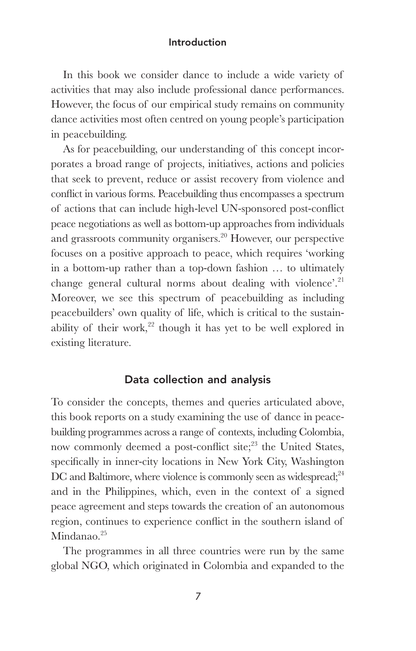In this book we consider dance to include a wide variety of activities that may also include professional dance performances. However, the focus of our empirical study remains on community dance activities most often centred on young people's participation in peacebuilding.

 As for peacebuilding, our understanding of this concept incorporates a broad range of projects, initiatives, actions and policies that seek to prevent, reduce or assist recovery from violence and conflict in various forms. Peacebuilding thus encompasses a spectrum of actions that can include high-level UN-sponsored post-conflict peace negotiations as well as bottom-up approaches from individuals and grassroots community organisers. 20 However, our perspective focuses on a positive approach to peace, which requires 'working in a bottom-up rather than a top-down fashion … to ultimately change general cultural norms about dealing with violence'.<sup>21</sup> Moreover, we see this spectrum of peacebuilding as including peacebuilders' own quality of life, which is critical to the sustainability of their work,<sup>22</sup> though it has yet to be well explored in existing literature.

## **Data collection and analysis**

 To consider the concepts, themes and queries articulated above, this book reports on a study examining the use of dance in peacebuilding programmes across a range of contexts, including Colombia, now commonly deemed a post-conflict site;<sup>23</sup> the United States, specifically in inner-city locations in New York City, Washington DC and Baltimore, where violence is commonly seen as widespread;<sup>24</sup> and in the Philippines, which, even in the context of a signed peace agreement and steps towards the creation of an autonomous region, continues to experience conflict in the southern island of Mindanao. $25$ 

 The programmes in all three countries were run by the same global NGO, which originated in Colombia and expanded to the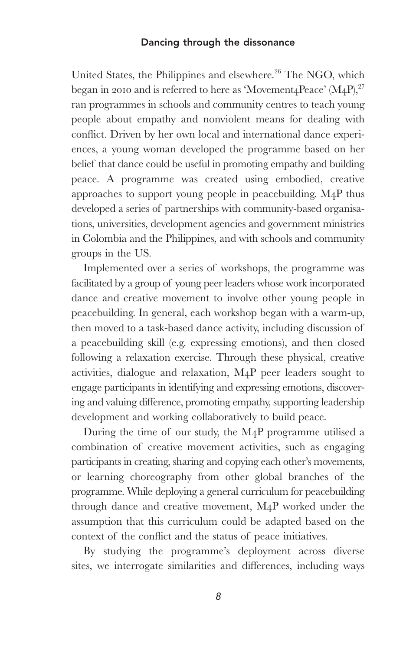United States, the Philippines and elsewhere.<sup>26</sup> The NGO, which began in 2010 and is referred to here as 'Movement<sub>4</sub>Peace' (M<sub>4</sub>P),  $27$ ran programmes in schools and community centres to teach young people about empathy and nonviolent means for dealing with conflict. Driven by her own local and international dance experiences, a young woman developed the programme based on her belief that dance could be useful in promoting empathy and building peace. A programme was created using embodied, creative approaches to support young people in peacebuilding. M4P thus developed a series of partnerships with community-based organisations, universities, development agencies and government ministries in Colombia and the Philippines, and with schools and community groups in the US.

 Implemented over a series of workshops, the programme was facilitated by a group of young peer leaders whose work incorporated dance and creative movement to involve other young people in peacebuilding. In general, each workshop began with a warm-up, then moved to a task-based dance activity, including discussion of a peacebuilding skill (e.g. expressing emotions), and then closed following a relaxation exercise. Through these physical, creative activities, dialogue and relaxation, M4P peer leaders sought to engage participants in identifying and expressing emotions, discovering and valuing difference, promoting empathy, supporting leadership development and working collaboratively to build peace.

 During the time of our study, the M4P programme utilised a combination of creative movement activities, such as engaging participants in creating, sharing and copying each other's movements, or learning choreography from other global branches of the programme. While deploying a general curriculum for peacebuilding through dance and creative movement, M4P worked under the assumption that this curriculum could be adapted based on the context of the conflict and the status of peace initiatives.

By studying the programme's deployment across diverse sites, we interrogate similarities and differences, including ways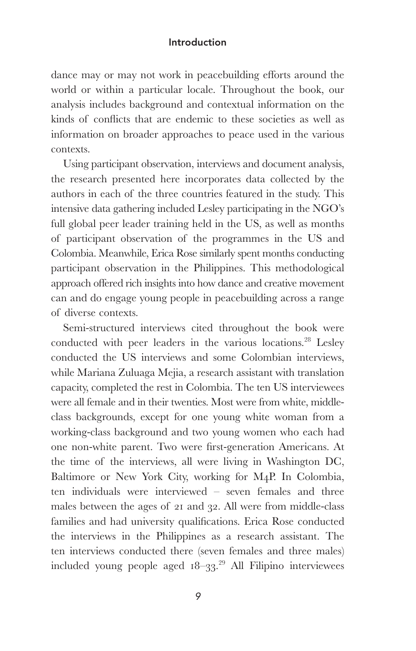dance may or may not work in peacebuilding efforts around the world or within a particular locale. Throughout the book, our analysis includes background and contextual information on the kinds of conflicts that are endemic to these societies as well as information on broader approaches to peace used in the various contexts.

 Using participant observation, interviews and document analysis, the research presented here incorporates data collected by the authors in each of the three countries featured in the study. This intensive data gathering included Lesley participating in the NGO's full global peer leader training held in the US, as well as months of participant observation of the programmes in the US and Colombia. Meanwhile, Erica Rose similarly spent months conducting participant observation in the Philippines. This methodological approach offered rich insights into how dance and creative movement can and do engage young people in peacebuilding across a range of diverse contexts.

 Semi-structured interviews cited throughout the book were conducted with peer leaders in the various locations.<sup>28</sup> Lesley conducted the US interviews and some Colombian interviews, while Mariana Zuluaga Mejia, a research assistant with translation capacity, completed the rest in Colombia. The ten US interviewees were all female and in their twenties. Most were from white, middleclass backgrounds, except for one young white woman from a working-class background and two young women who each had one non-white parent. Two were first-generation Americans. At the time of the interviews, all were living in Washington DC, Baltimore or New York City, working for M4P. In Colombia, ten individuals were interviewed – seven females and three males between the ages of 21 and 32. All were from middle-class families and had university qualifications. Erica Rose conducted the interviews in the Philippines as a research assistant. The ten interviews conducted there (seven females and three males) included young people aged  $18-33$ .<sup>29</sup> All Filipino interviewees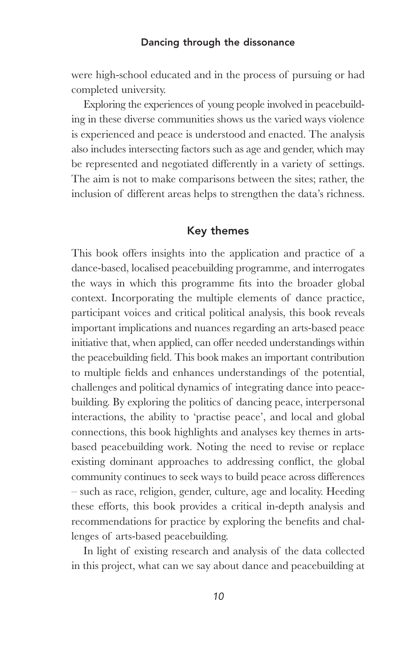were high-school educated and in the process of pursuing or had completed university.

 Exploring the experiences of young people involved in peacebuilding in these diverse communities shows us the varied ways violence is experienced and peace is understood and enacted. The analysis also includes intersecting factors such as age and gender, which may be represented and negotiated differently in a variety of settings. The aim is not to make comparisons between the sites; rather, the inclusion of different areas helps to strengthen the data's richness.

## **Key themes**

This book offers insights into the application and practice of a dance-based, localised peacebuilding programme, and interrogates the ways in which this programme fits into the broader global context. Incorporating the multiple elements of dance practice, participant voices and critical political analysis, this book reveals important implications and nuances regarding an arts-based peace initiative that, when applied, can offer needed understandings within the peacebuilding field. This book makes an important contribution to multiple fields and enhances understandings of the potential, challenges and political dynamics of integrating dance into peacebuilding. By exploring the politics of dancing peace, interpersonal interactions, the ability to 'practise peace', and local and global connections, this book highlights and analyses key themes in artsbased peacebuilding work. Noting the need to revise or replace existing dominant approaches to addressing conflict, the global community continues to seek ways to build peace across differences – such as race, religion, gender, culture, age and locality. Heeding these efforts, this book provides a critical in-depth analysis and recommendations for practice by exploring the benefits and challenges of arts-based peacebuilding.

 In light of existing research and analysis of the data collected in this project, what can we say about dance and peacebuilding at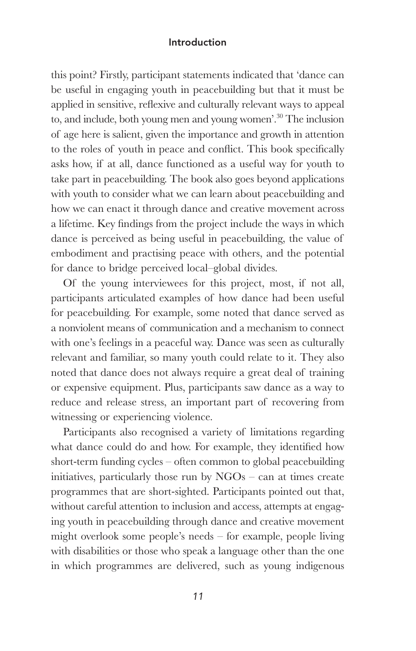this point? Firstly, participant statements indicated that 'dance can be useful in engaging youth in peacebuilding but that it must be applied in sensitive, reflexive and culturally relevant ways to appeal to, and include, both young men and young women'. 30 The inclusion of age here is salient, given the importance and growth in attention to the roles of youth in peace and conflict. This book specifically asks how, if at all, dance functioned as a useful way for youth to take part in peacebuilding. The book also goes beyond applications with youth to consider what we can learn about peacebuilding and how we can enact it through dance and creative movement across a lifetime. Key findings from the project include the ways in which dance is perceived as being useful in peacebuilding, the value of embodiment and practising peace with others, and the potential for dance to bridge perceived local–global divides.

 Of the young interviewees for this project, most, if not all, participants articulated examples of how dance had been useful for peacebuilding. For example, some noted that dance served as a nonviolent means of communication and a mechanism to connect with one's feelings in a peaceful way. Dance was seen as culturally relevant and familiar, so many youth could relate to it. They also noted that dance does not always require a great deal of training or expensive equipment. Plus, participants saw dance as a way to reduce and release stress, an important part of recovering from witnessing or experiencing violence.

 Participants also recognised a variety of limitations regarding what dance could do and how. For example, they identified how short-term funding cycles – often common to global peacebuilding initiatives, particularly those run by NGOs – can at times create programmes that are short-sighted. Participants pointed out that, without careful attention to inclusion and access, attempts at engaging youth in peacebuilding through dance and creative movement might overlook some people's needs – for example, people living with disabilities or those who speak a language other than the one in which programmes are delivered, such as young indigenous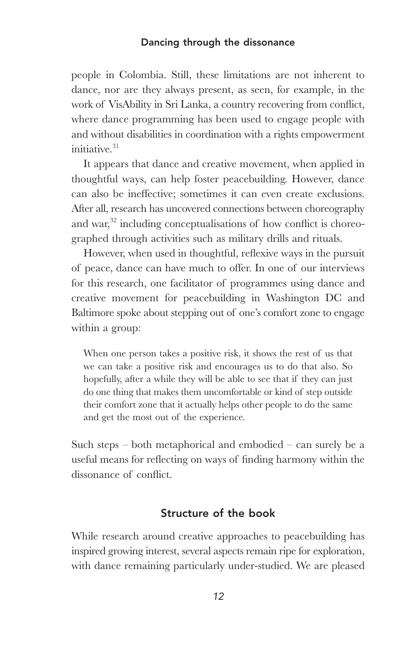people in Colombia. Still, these limitations are not inherent to dance, nor are they always present, as seen, for example, in the work of VisAbility in Sri Lanka, a country recovering from conflict, where dance programming has been used to engage people with and without disabilities in coordination with a rights empowerment initiative. 31

 It appears that dance and creative movement, when applied in thoughtful ways, can help foster peacebuilding. However, dance can also be ineffective; sometimes it can even create exclusions. After all, research has uncovered connections between choreography and war, $32$  including conceptualisations of how conflict is choreographed through activities such as military drills and rituals.

However, when used in thoughtful, reflexive ways in the pursuit of peace, dance can have much to offer. In one of our interviews for this research, one facilitator of programmes using dance and creative movement for peacebuilding in Washington DC and Baltimore spoke about stepping out of one's comfort zone to engage within a group:

 When one person takes a positive risk, it shows the rest of us that we can take a positive risk and encourages us to do that also. So hopefully, after a while they will be able to see that if they can just do one thing that makes them uncomfortable or kind of step outside their comfort zone that it actually helps other people to do the same and get the most out of the experience.

Such steps – both metaphorical and embodied – can surely be a useful means for reflecting on ways of finding harmony within the dissonance of conflict.

## **Structure of the book**

 While research around creative approaches to peacebuilding has inspired growing interest, several aspects remain ripe for exploration, with dance remaining particularly under-studied. We are pleased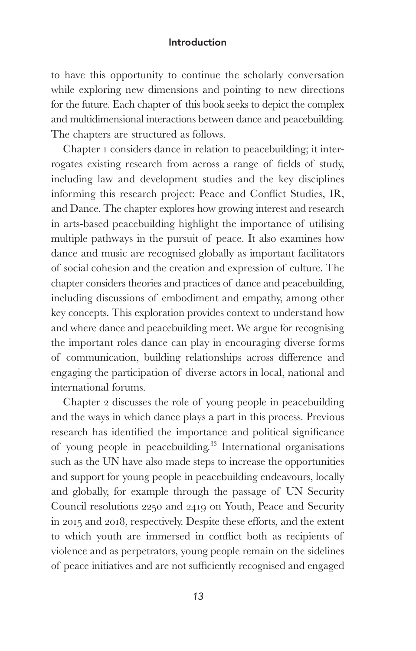to have this opportunity to continue the scholarly conversation while exploring new dimensions and pointing to new directions for the future. Each chapter of this book seeks to depict the complex and multidimensional interactions between dance and peacebuilding. The chapters are structured as follows.

 Chapter 1 considers dance in relation to peacebuilding; it interrogates existing research from across a range of fields of study, including law and development studies and the key disciplines informing this research project: Peace and Conflict Studies, IR, and Dance. The chapter explores how growing interest and research in arts-based peacebuilding highlight the importance of utilising multiple pathways in the pursuit of peace. It also examines how dance and music are recognised globally as important facilitators of social cohesion and the creation and expression of culture. The chapter considers theories and practices of dance and peacebuilding, including discussions of embodiment and empathy, among other key concepts. This exploration provides context to understand how and where dance and peacebuilding meet. We argue for recognising the important roles dance can play in encouraging diverse forms of communication, building relationships across difference and engaging the participation of diverse actors in local, national and international forums.

 Chapter 2 discusses the role of young people in peacebuilding and the ways in which dance plays a part in this process. Previous research has identified the importance and political significance of young people in peacebuilding. 33 International organisations such as the UN have also made steps to increase the opportunities and support for young people in peacebuilding endeavours, locally and globally, for example through the passage of UN Security Council resolutions 2250 and 2419 on Youth, Peace and Security in 2015 and 2018, respectively. Despite these efforts, and the extent to which youth are immersed in conflict both as recipients of violence and as perpetrators, young people remain on the sidelines of peace initiatives and are not sufficiently recognised and engaged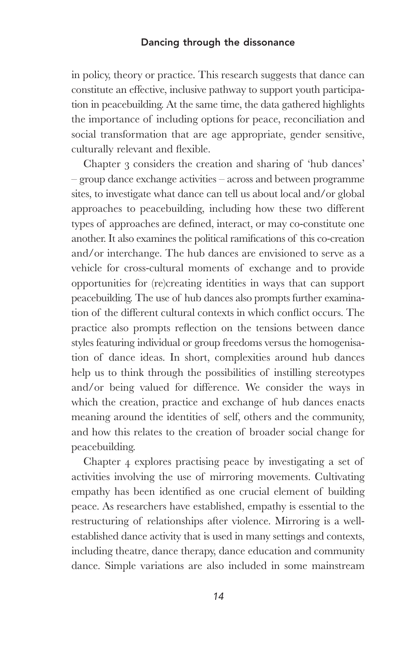in policy, theory or practice. This research suggests that dance can constitute an effective, inclusive pathway to support youth participation in peacebuilding. At the same time, the data gathered highlights the importance of including options for peace, reconciliation and social transformation that are age appropriate, gender sensitive, culturally relevant and flexible.

 Chapter 3 considers the creation and sharing of 'hub dances' – group dance exchange activities – across and between programme sites, to investigate what dance can tell us about local and/or global approaches to peacebuilding, including how these two different types of approaches are defined, interact, or may co-constitute one another. It also examines the political ramifications of this co-creation and/or interchange. The hub dances are envisioned to serve as a vehicle for cross-cultural moments of exchange and to provide opportunities for (re)creating identities in ways that can support peacebuilding. The use of hub dances also prompts further examination of the different cultural contexts in which conflict occurs. The practice also prompts reflection on the tensions between dance styles featuring individual or group freedoms versus the homogenisation of dance ideas. In short, complexities around hub dances help us to think through the possibilities of instilling stereotypes and/or being valued for difference. We consider the ways in which the creation, practice and exchange of hub dances enacts meaning around the identities of self, others and the community, and how this relates to the creation of broader social change for peacebuilding.

 Chapter 4 explores practising peace by investigating a set of activities involving the use of mirroring movements. Cultivating empathy has been identified as one crucial element of building peace. As researchers have established, empathy is essential to the restructuring of relationships after violence. Mirroring is a wellestablished dance activity that is used in many settings and contexts, including theatre, dance therapy, dance education and community dance. Simple variations are also included in some mainstream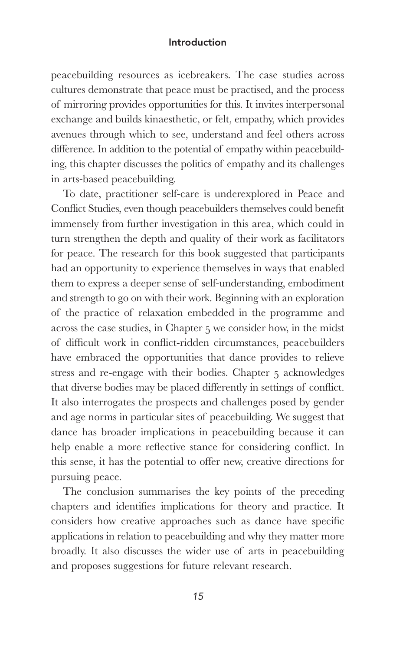peacebuilding resources as icebreakers. The case studies across cultures demonstrate that peace must be practised, and the process of mirroring provides opportunities for this. It invites interpersonal exchange and builds kinaesthetic, or felt, empathy, which provides avenues through which to see, understand and feel others across difference. In addition to the potential of empathy within peacebuilding, this chapter discusses the politics of empathy and its challenges in arts-based peacebuilding.

 To date, practitioner self-care is underexplored in Peace and Conflict Studies, even though peacebuilders themselves could benefit immensely from further investigation in this area, which could in turn strengthen the depth and quality of their work as facilitators for peace. The research for this book suggested that participants had an opportunity to experience themselves in ways that enabled them to express a deeper sense of self-understanding, embodiment and strength to go on with their work. Beginning with an exploration of the practice of relaxation embedded in the programme and across the case studies, in Chapter 5 we consider how, in the midst of difficult work in conflict-ridden circumstances, peacebuilders have embraced the opportunities that dance provides to relieve stress and re-engage with their bodies. Chapter 5 acknowledges that diverse bodies may be placed differently in settings of conflict. It also interrogates the prospects and challenges posed by gender and age norms in particular sites of peacebuilding. We suggest that dance has broader implications in peacebuilding because it can help enable a more reflective stance for considering conflict. In this sense, it has the potential to offer new, creative directions for pursuing peace.

 The conclusion summarises the key points of the preceding chapters and identifies implications for theory and practice. It considers how creative approaches such as dance have specific applications in relation to peacebuilding and why they matter more broadly. It also discusses the wider use of arts in peacebuilding and proposes suggestions for future relevant research.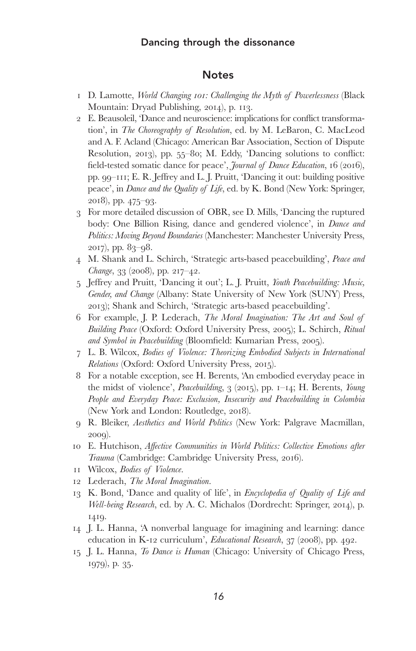### **Notes**

- 1 D. Lamotte, *World Changing 101: Challenging the Myth of Powerlessness* (Black Mountain: Dryad Publishing, 2014), p. 113.
- 2 E. Beausoleil, 'Dance and neuroscience: implications for conflict transformation', in *The Choreography of Resolution* , ed. by M. LeBaron, C. MacLeod and A. F. Acland (Chicago: American Bar Association, Section of Dispute Resolution, 2013), pp.  $55$ –80; M. Eddy, 'Dancing solutions to conflict: field-tested somatic dance for peace', *Journal of Dance Education*, 16 (2016), pp. 99–111; E. R. Jeffrey and L. J. Pruitt, 'Dancing it out: building positive peace', in *Dance and the Quality of Life*, ed. by K. Bond (New York: Springer, 2018), pp. 475–93.
- 3 For more detailed discussion of OBR, see D. Mills, 'Dancing the ruptured body: One Billion Rising, dance and gendered violence', in *Dance and Politics: Moving Beyond Boundaries* (Manchester: Manchester University Press, 2017), pp. 83–98.
- 4 M. Shank and L. Schirch, 'Strategic arts-based peacebuilding', *Peace and Change*, 33 (2008), pp. 217–42.
- 5 Jeff rey and Pruitt, 'Dancing it out'; L. J. Pruitt, *Youth Peacebuilding: Music, Gender, and Change* (Albany: State University of New York (SUNY) Press, 2013); Shank and Schirch, 'Strategic arts-based peacebuilding'.
- 6 For example, J. P. Lederach, *The Moral Imagination: The Art and Soul of Building Peace* (Oxford: Oxford University Press, 2005); L. Schirch, *Ritual*  and Symbol in Peacebuilding (Bloomfield: Kumarian Press, 2005).
- 7 L. B. Wilcox, *Bodies of Violence: Theorizing Embodied Subjects in International Relations* (Oxford: Oxford University Press, 2015).
- 8 For a notable exception, see H. Berents, 'An embodied everyday peace in the midst of violence', *Peacebuilding* , 3 (2015), pp. 1–14; H. Berents, *Young People and Everyday Peace: Exclusion, Insecurity and Peacebuilding in Colombia* (New York and London: Routledge, 2018).
- 9 R. Bleiker, *Aesthetics and World Politics* (New York: Palgrave Macmillan, 2009).
- 10 E. Hutchison, *Affective Communities in World Politics: Collective Emotions after Trauma* (Cambridge: Cambridge University Press, 2016).
- 11 Wilcox, *Bodies of Violence* .
- 12 Lederach, *The Moral Imagination* .
- 13 K. Bond, 'Dance and quality of life', in *Encyclopedia of Quality of Life and Well-being Research* , ed. by A. C. Michalos (Dordrecht: Springer, 2014), p. 1419.
- 14 J. L. Hanna, 'A nonverbal language for imagining and learning: dance education in K-12 curriculum', *Educational Research*, 37 (2008), pp. 492.
- 15 J. L. Hanna, *To Dance is Human* (Chicago: University of Chicago Press, 1979), p. 35.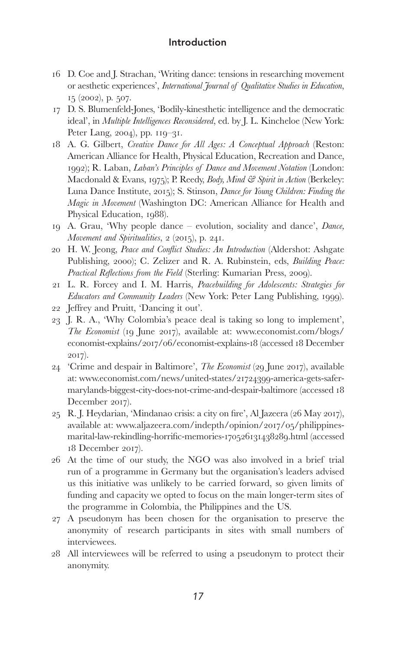- 16 D. Coe and J. Strachan, 'Writing dance: tensions in researching movement or aesthetic experiences', *International Journal of Qualitative Studies in Education* , 15 (2002), p. 507.
- 17 D. S. Blumenfeld-Jones, 'Bodily-kinesthetic intelligence and the democratic ideal', in *Multiple Intelligences Reconsidered*, ed. by J. L. Kincheloe (New York: Peter Lang, 2004), pp. 119–31.
- 18 A. G. Gilbert, *Creative Dance for All Ages: A Conceptual Approach* (Reston: American Alliance for Health, Physical Education, Recreation and Dance, 1992); R. Laban, *Laban's Principles of Dance and Movement Notation* (London: Macdonald & Evans, 1975); P. Reedy, *Body, Mind & Spirit in Action* (Berkeley: Luna Dance Institute, 2015); S. Stinson, *Dance for Young Children: Finding the Magic in Movement* (Washington DC: American Alliance for Health and Physical Education, 1988).
- 19 A. Grau, 'Why people dance evolution, sociality and dance', *Dance, Movement and Spiritualities* , 2 (2015), p. 241.
- 20 H. W. Jeong, *Peace and Conflict Studies: An Introduction* (Aldershot: Ashgate Publishing, 2000); C. Zelizer and R. A. Rubinstein, eds, *Building Peace: Practical Reflections from the Field* (Sterling: Kumarian Press, 2009).
- 21 L. R. Forcey and I. M. Harris, *Peacebuilding for Adolescents: Strategies for Educators and Community Leaders* (New York: Peter Lang Publishing, 1999). 22 Jeffrey and Pruitt, 'Dancing it out'.
- 23 J. R. A., 'Why Colombia's peace deal is taking so long to implement',
- *The Economist* (19 June 2017), available at: www.economist.com/blogs/ economist-explains/2017/06/economist-explains-18 (accessed 18 December 2017).
- 24 'Crime and despair in Baltimore', *The Economist* (29 June 2017), available at: www.economist.com/news/united-states/21724399-america-gets-safermarylands-biggest-city-does-not-crime-and-despair-baltimore (accessed 18 December 2017).
- 25 R. J. Heydarian, 'Mindanao crisis: a city on fire', Al Jazeera (26 May 2017), available at: www.aljazeera.com/indepth/opinion/2017/05/philippinesmarital-law-rekindling-horrific-memories-170526131438289.html (accessed 18 December 2017).
- 26 At the time of our study, the NGO was also involved in a brief trial run of a programme in Germany but the organisation's leaders advised us this initiative was unlikely to be carried forward, so given limits of funding and capacity we opted to focus on the main longer-term sites of the programme in Colombia, the Philippines and the US.
- 27 A pseudonym has been chosen for the organisation to preserve the anonymity of research participants in sites with small numbers of interviewees.
- 28 All interviewees will be referred to using a pseudonym to protect their anonymity.